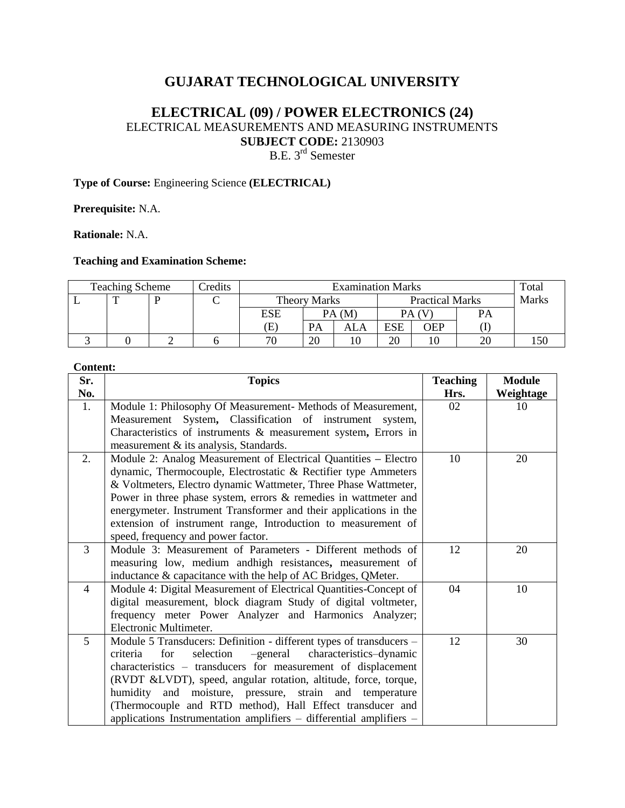# **GUJARAT TECHNOLOGICAL UNIVERSITY**

## **ELECTRICAL (09) / POWER ELECTRONICS (24)** ELECTRICAL MEASUREMENTS AND MEASURING INSTRUMENTS **SUBJECT CODE:** 2130903 B.E. 3<sup>rd</sup> Semester

## **Type of Course:** Engineering Science **(ELECTRICAL)**

**Prerequisite:** N.A.

**Rationale:** N.A.

## **Teaching and Examination Scheme:**

| <b>Teaching Scheme</b> |  |  | Credits | <b>Examination Marks</b> |                                               |     |            |              |    | Total |
|------------------------|--|--|---------|--------------------------|-----------------------------------------------|-----|------------|--------------|----|-------|
|                        |  |  |         |                          | <b>Practical Marks</b><br><b>Theory Marks</b> |     |            | <b>Marks</b> |    |       |
|                        |  |  |         | ESE                      | PA(M)                                         |     | PA (V      |              | PА |       |
|                        |  |  |         | Œ                        | PА                                            | ALA | <b>ESE</b> | OEP          |    |       |
|                        |  |  |         | 70                       | 20                                            |     | 20         |              | 20 |       |

#### **Content:**

| Sr.            | <b>Topics</b>                                                       | <b>Teaching</b> | <b>Module</b> |  |
|----------------|---------------------------------------------------------------------|-----------------|---------------|--|
| No.            |                                                                     | Hrs.            | Weightage     |  |
| 1.             | Module 1: Philosophy Of Measurement- Methods of Measurement,        | 02              | 10            |  |
|                | Measurement System, Classification of instrument system,            |                 |               |  |
|                | Characteristics of instruments $\&$ measurement system, Errors in   |                 |               |  |
|                | measurement & its analysis, Standards.                              |                 |               |  |
| 2.             | Module 2: Analog Measurement of Electrical Quantities - Electro     | 10              | 20            |  |
|                | dynamic, Thermocouple, Electrostatic & Rectifier type Ammeters      |                 |               |  |
|                | & Voltmeters, Electro dynamic Wattmeter, Three Phase Wattmeter,     |                 |               |  |
|                | Power in three phase system, errors $\&$ remedies in wattmeter and  |                 |               |  |
|                | energymeter. Instrument Transformer and their applications in the   |                 |               |  |
|                | extension of instrument range, Introduction to measurement of       |                 |               |  |
|                | speed, frequency and power factor.                                  |                 |               |  |
| 3              | Module 3: Measurement of Parameters - Different methods of          | 12              | 20            |  |
|                | measuring low, medium and high resistances, measurement of          |                 |               |  |
|                | inductance & capacitance with the help of AC Bridges, QMeter.       |                 |               |  |
| $\overline{4}$ | Module 4: Digital Measurement of Electrical Quantities-Concept of   | 04              | 10            |  |
|                | digital measurement, block diagram Study of digital voltmeter,      |                 |               |  |
|                | frequency meter Power Analyzer and Harmonics Analyzer;              |                 |               |  |
|                | Electronic Multimeter.                                              |                 |               |  |
| 5              | Module 5 Transducers: Definition - different types of transducers - | 12              | 30            |  |
|                | selection<br>-general<br>characteristics-dynamic<br>for<br>criteria |                 |               |  |
|                | characteristics - transducers for measurement of displacement       |                 |               |  |
|                | (RVDT &LVDT), speed, angular rotation, altitude, force, torque,     |                 |               |  |
|                | humidity and moisture, pressure, strain and temperature             |                 |               |  |
|                | (Thermocouple and RTD method), Hall Effect transducer and           |                 |               |  |
|                | applications Instrumentation amplifiers - differential amplifiers - |                 |               |  |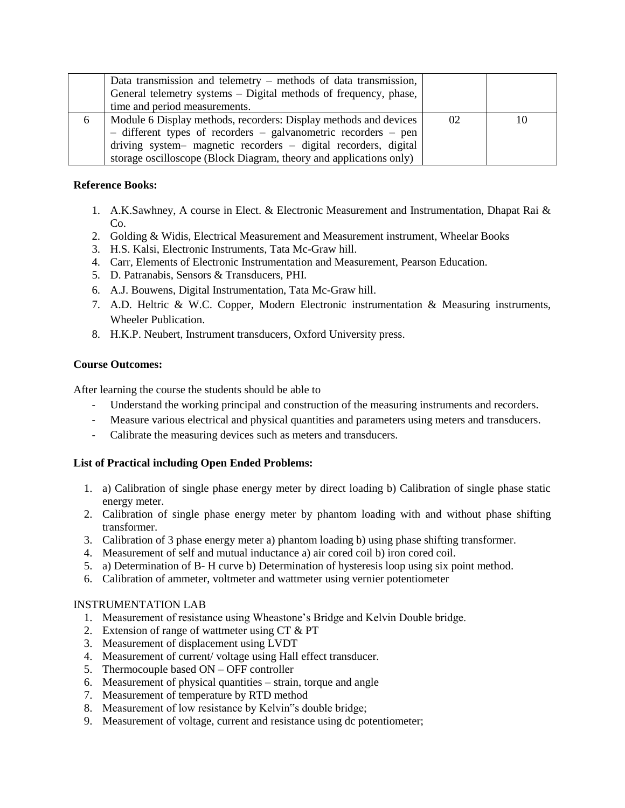|   | Data transmission and telemetry $-$ methods of data transmission,<br>General telemetry systems – Digital methods of frequency, phase,<br>time and period measurements.                                                                                                      |    |    |
|---|-----------------------------------------------------------------------------------------------------------------------------------------------------------------------------------------------------------------------------------------------------------------------------|----|----|
| 6 | Module 6 Display methods, recorders: Display methods and devices<br>- different types of recorders - galvanometric recorders - pen<br>driving system- magnetic recorders - digital recorders, digital<br>storage oscilloscope (Block Diagram, theory and applications only) | 02 | 10 |

### **Reference Books:**

- 1. A.K.Sawhney, A course in Elect. & Electronic Measurement and Instrumentation, Dhapat Rai &  $Co<sub>1</sub>$
- 2. Golding & Widis, Electrical Measurement and Measurement instrument, Wheelar Books
- 3. H.S. Kalsi, Electronic Instruments, Tata Mc-Graw hill.
- 4. Carr, Elements of Electronic Instrumentation and Measurement, Pearson Education.
- 5. D. Patranabis, Sensors & Transducers, PHI.
- 6. A.J. Bouwens, Digital Instrumentation, Tata Mc-Graw hill.
- 7. A.D. Heltric & W.C. Copper, Modern Electronic instrumentation & Measuring instruments, Wheeler Publication.
- 8. H.K.P. Neubert, Instrument transducers, Oxford University press.

#### **Course Outcomes:**

After learning the course the students should be able to

- Understand the working principal and construction of the measuring instruments and recorders.
- Measure various electrical and physical quantities and parameters using meters and transducers.
- Calibrate the measuring devices such as meters and transducers.

## **List of Practical including Open Ended Problems:**

- 1. a) Calibration of single phase energy meter by direct loading b) Calibration of single phase static energy meter.
- 2. Calibration of single phase energy meter by phantom loading with and without phase shifting transformer.
- 3. Calibration of 3 phase energy meter a) phantom loading b) using phase shifting transformer.
- 4. Measurement of self and mutual inductance a) air cored coil b) iron cored coil.
- 5. a) Determination of B- H curve b) Determination of hysteresis loop using six point method.
- 6. Calibration of ammeter, voltmeter and wattmeter using vernier potentiometer

#### INSTRUMENTATION LAB

- 1. Measurement of resistance using Wheastone's Bridge and Kelvin Double bridge.
- 2. Extension of range of wattmeter using CT & PT
- 3. Measurement of displacement using LVDT
- 4. Measurement of current/ voltage using Hall effect transducer.
- 5. Thermocouple based ON OFF controller
- 6. Measurement of physical quantities strain, torque and angle
- 7. Measurement of temperature by RTD method
- 8. Measurement of low resistance by Kelvin"s double bridge;
- 9. Measurement of voltage, current and resistance using dc potentiometer;